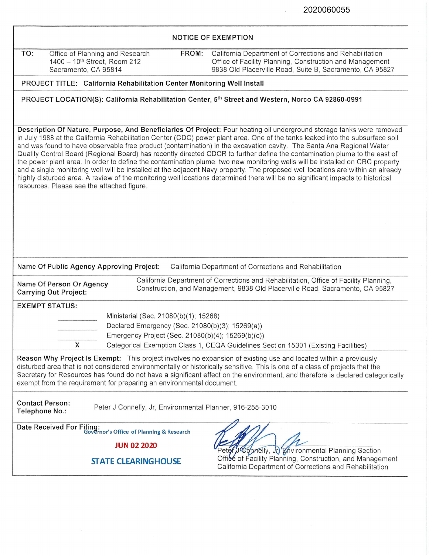$\bar{\chi}$ 

| <b>NOTICE OF EXEMPTION</b>                                                                                                                                                                                                                                                                                                                                                                                                                                                                                                                                                                                                                                                                                                                                                                                                                                                                                                                                      |                                                                                                                                                                                 |
|-----------------------------------------------------------------------------------------------------------------------------------------------------------------------------------------------------------------------------------------------------------------------------------------------------------------------------------------------------------------------------------------------------------------------------------------------------------------------------------------------------------------------------------------------------------------------------------------------------------------------------------------------------------------------------------------------------------------------------------------------------------------------------------------------------------------------------------------------------------------------------------------------------------------------------------------------------------------|---------------------------------------------------------------------------------------------------------------------------------------------------------------------------------|
| TO:<br>Office of Planning and Research<br>FROM:<br>1400 - 10 <sup>th</sup> Street, Room 212<br>Sacramento, CA 95814                                                                                                                                                                                                                                                                                                                                                                                                                                                                                                                                                                                                                                                                                                                                                                                                                                             | California Department of Corrections and Rehabilitation<br>Office of Facility Planning, Construction and Management<br>9838 Old Placerville Road, Suite B, Sacramento, CA 95827 |
| PROJECT TITLE: California Rehabilitation Center Monitoring Well Install                                                                                                                                                                                                                                                                                                                                                                                                                                                                                                                                                                                                                                                                                                                                                                                                                                                                                         |                                                                                                                                                                                 |
| PROJECT LOCATION(S): California Rehabilitation Center, 5th Street and Western, Norco CA 92860-0991                                                                                                                                                                                                                                                                                                                                                                                                                                                                                                                                                                                                                                                                                                                                                                                                                                                              |                                                                                                                                                                                 |
| Description Of Nature, Purpose, And Beneficiaries Of Project: Four heating oil underground storage tanks were removed<br>in July 1988 at the California Rehabilitation Center (CDC) power plant area. One of the tanks leaked into the subsurface soil<br>and was found to have observable free product (contamination) in the excavation cavity. The Santa Ana Regional Water<br>Quality Control Board (Regional Board) has recently directed CDCR to further define the contamination plume to the east of<br>the power plant area. In order to define the contamination plume, two new monitoring wells will be installed on CRC property<br>and a single monitoring well will be installed at the adjacent Navy property. The proposed well locations are within an already<br>highly disturbed area. A review of the monitoring well locations determined there will be no significant impacts to historical<br>resources. Please see the attached figure. |                                                                                                                                                                                 |
|                                                                                                                                                                                                                                                                                                                                                                                                                                                                                                                                                                                                                                                                                                                                                                                                                                                                                                                                                                 |                                                                                                                                                                                 |
|                                                                                                                                                                                                                                                                                                                                                                                                                                                                                                                                                                                                                                                                                                                                                                                                                                                                                                                                                                 |                                                                                                                                                                                 |
|                                                                                                                                                                                                                                                                                                                                                                                                                                                                                                                                                                                                                                                                                                                                                                                                                                                                                                                                                                 |                                                                                                                                                                                 |
|                                                                                                                                                                                                                                                                                                                                                                                                                                                                                                                                                                                                                                                                                                                                                                                                                                                                                                                                                                 |                                                                                                                                                                                 |
| Name Of Public Agency Approving Project:<br>California Department of Corrections and Rehabilitation<br>California Department of Corrections and Rehabilitation, Office of Facility Planning,<br>Name Of Person Or Agency<br>Construction, and Management, 9838 Old Placerville Road, Sacramento, CA 95827<br><b>Carrying Out Project:</b>                                                                                                                                                                                                                                                                                                                                                                                                                                                                                                                                                                                                                       |                                                                                                                                                                                 |
| <b>EXEMPT STATUS:</b>                                                                                                                                                                                                                                                                                                                                                                                                                                                                                                                                                                                                                                                                                                                                                                                                                                                                                                                                           |                                                                                                                                                                                 |
| Ministerial (Sec. 21080(b)(1); 15268)                                                                                                                                                                                                                                                                                                                                                                                                                                                                                                                                                                                                                                                                                                                                                                                                                                                                                                                           |                                                                                                                                                                                 |
| Declared Emergency (Sec. 21080(b)(3); 15269(a))<br>Emergency Project (Sec. 21080(b)(4); 15269(b)(c))                                                                                                                                                                                                                                                                                                                                                                                                                                                                                                                                                                                                                                                                                                                                                                                                                                                            |                                                                                                                                                                                 |
| X                                                                                                                                                                                                                                                                                                                                                                                                                                                                                                                                                                                                                                                                                                                                                                                                                                                                                                                                                               | Categorical Exemption Class 1, CEQA Guidelines Section 15301 (Existing Facilities)                                                                                              |
| Reason Why Project Is Exempt: This project involves no expansion of existing use and located within a previously<br>disturbed area that is not considered environmentally or historically sensitive. This is one of a class of projects that the<br>exempt from the requirement for preparing an environmental document.                                                                                                                                                                                                                                                                                                                                                                                                                                                                                                                                                                                                                                        | Secretary for Resources has found do not have a significant effect on the environment, and therefore is declared categorically                                                  |
| <b>Contact Person:</b><br>Peter J Connelly, Jr, Environmental Planner, 916-255-3010<br>Telephone No.:                                                                                                                                                                                                                                                                                                                                                                                                                                                                                                                                                                                                                                                                                                                                                                                                                                                           |                                                                                                                                                                                 |
| Date Received For Filing:<br>Governor's Office of Planning & Research                                                                                                                                                                                                                                                                                                                                                                                                                                                                                                                                                                                                                                                                                                                                                                                                                                                                                           |                                                                                                                                                                                 |
| <b>JUN 02 2020</b>                                                                                                                                                                                                                                                                                                                                                                                                                                                                                                                                                                                                                                                                                                                                                                                                                                                                                                                                              |                                                                                                                                                                                 |
| <b>STATE CLEARINGHOUSE</b>                                                                                                                                                                                                                                                                                                                                                                                                                                                                                                                                                                                                                                                                                                                                                                                                                                                                                                                                      | Peter J Connelly, Jo Environmental Planning Section<br>Office of Facility Planning, Construction, and Management<br>California Department of Corrections and Rehabilitation     |

 $\alpha$